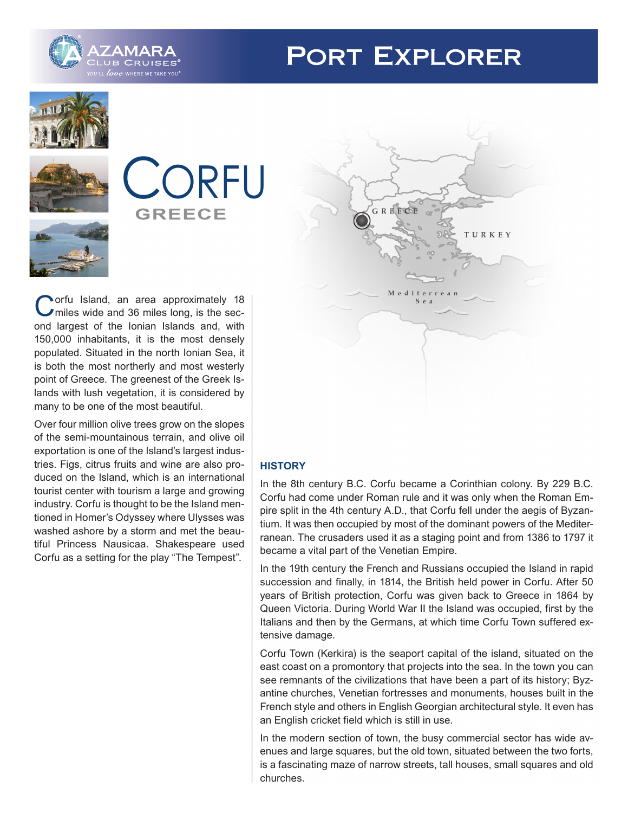

# **PORT EXPLORER**









**Norfu Island, an area approximately 18** miles wide and 36 miles long, is the second largest of the Ionian Islands and, with 150,000 inhabitants, it is the most densely populated. Situated in the north Ionian Sea, it is both the most northerly and most westerly point of Greece. The greenest of the Greek Islands with lush vegetation, it is considered by many to be one of the most beautiful.

Over four million olive trees grow on the slopes of the semi-mountainous terrain, and olive oil exportation is one of the Island's largest industries. Figs, citrus fruits and wine are also produced on the Island, which is an international tourist center with tourism a large and growing industry. Corfu is thought to be the Island mentioned in Homer's Odyssey where Ulysses was washed ashore by a storm and met the beautiful Princess Nausicaa. Shakespeare used Corfu as a setting for the play "The Tempest".



# **HISTORY**

In the 8th century B.C. Corfu became a Corinthian colony. By 229 B.C. Corfu had come under Roman rule and it was only when the Roman Empire split in the 4th century A.D., that Corfu fell under the aegis of Byzantium. It was then occupied by most of the dominant powers of the Mediterranean. The crusaders used it as a staging point and from 1386 to 1797 it became a vital part of the Venetian Empire.

In the 19th century the French and Russians occupied the Island in rapid succession and finally, in 1814, the British held power in Corfu. After 50 years of British protection, Corfu was given back to Greece in 1864 by Queen Victoria. During World War II the Island was occupied, first by the Italians and then by the Germans, at which time Corfu Town suffered extensive damage.

Corfu Town (Kerkira) is the seaport capital of the island, situated on the east coast on a promontory that projects into the sea. In the town you can see remnants of the civilizations that have been a part of its history; Byzantine churches, Venetian fortresses and monuments, houses built in the French style and others in English Georgian architectural style. It even has an English cricket field which is still in use.

In the modern section of town, the busy commercial sector has wide avenues and large squares, but the old town, situated between the two forts, is a fascinating maze of narrow streets, tall houses, small squares and old churches.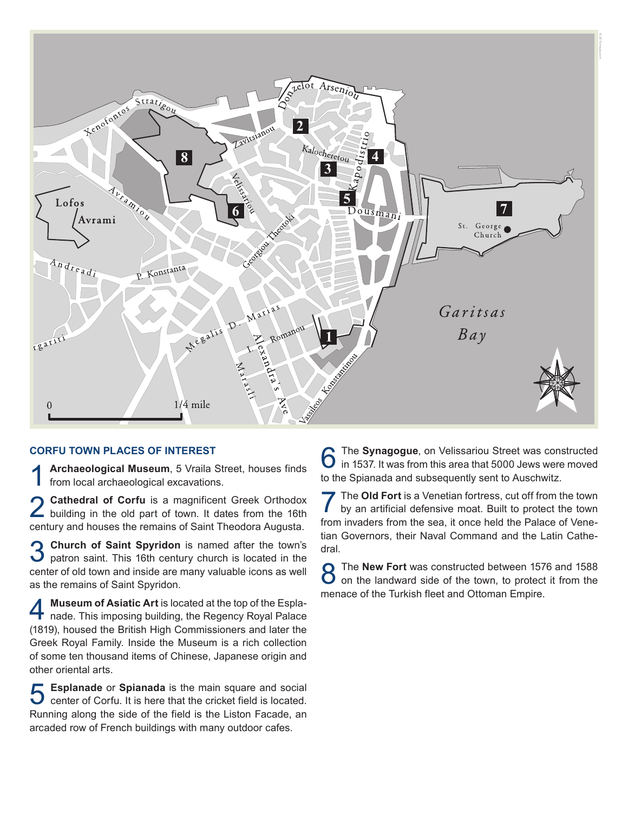

## **CORFU TOWN PLACES OF INTEREST**

Archaeological Museum, 5 Vraila Street, houses finds from local archaeological excavations.

2 **Cathedral of Corfu** is a magnificent Greek Orthodox building in the old part of town. It dates from the 16th century and houses the remains of Saint Theodora Augusta.

3 **Church of Saint Spyridon** is named after the town's patron saint. This 16th century church is located in the center of old town and inside are many valuable icons as well as the remains of Saint Spyridon.

4 **Museum of Asiatic Art** is located at the top of the Espla-nade. This imposing building, the Regency Royal Palace (1819), housed the British High Commissioners and later the Greek Royal Family. Inside the Museum is a rich collection of some ten thousand items of Chinese, Japanese origin and other oriental arts.

**5** Esplanade or Spianada is the main square and social center of Corfu. It is here that the cricket field is located. Running along the side of the field is the Liston Facade, an arcaded row of French buildings with many outdoor cafes.

**6** The **Synagogue**, on Velissariou Street was constructed in 1537. It was from this area that 5000 Jews were moved to the Spianada and subsequently sent to Auschwitz.

**7** The Old Fort is a Venetian fortress, cut off from the town by an artificial defensive moat. Built to protect the town from invaders from the sea, it once held the Palace of Venetian Governors, their Naval Command and the Latin Cathedral.

**8** The **New Fort** was constructed between 1576 and 1588 on the landward side of the town, to protect it from the menace of the Turkish fleet and Ottoman Empire.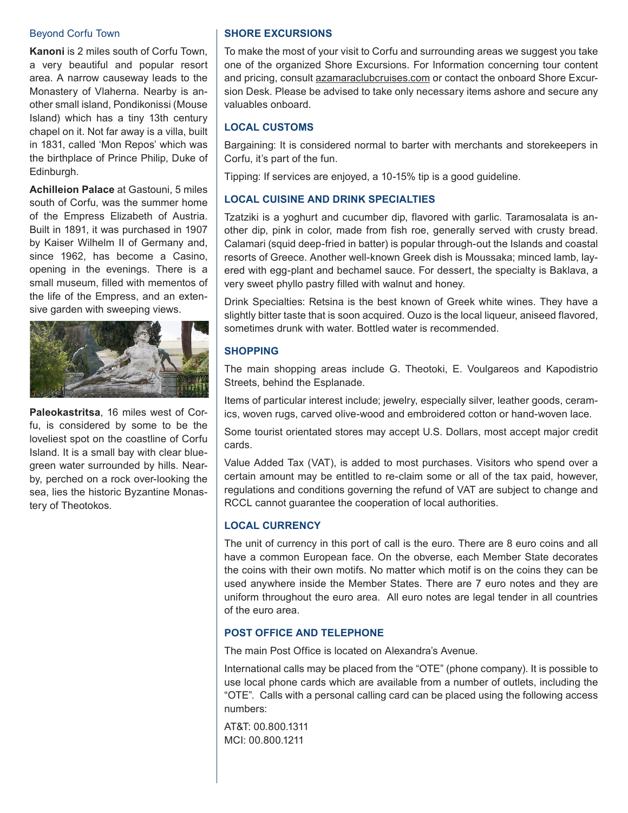#### Beyond Corfu Town

**Kanoni** is 2 miles south of Corfu Town, a very beautiful and popular resort area. A narrow causeway leads to the Monastery of Vlaherna. Nearby is another small island, Pondikonissi (Mouse Island) which has a tiny 13th century chapel on it. Not far away is a villa, built in 1831, called 'Mon Repos' which was the birthplace of Prince Philip, Duke of Edinburgh.

**Achilleion Palace** at Gastouni, 5 miles south of Corfu, was the summer home of the Empress Elizabeth of Austria. Built in 1891, it was purchased in 1907 by Kaiser Wilhelm II of Germany and, since 1962, has become a Casino, opening in the evenings. There is a small museum, filled with mementos of the life of the Empress, and an extensive garden with sweeping views.



**Paleokastritsa**, 16 miles west of Corfu, is considered by some to be the loveliest spot on the coastline of Corfu Island. It is a small bay with clear bluegreen water surrounded by hills. Nearby, perched on a rock over-looking the sea, lies the historic Byzantine Monastery of Theotokos.

# **SHORE EXCURSIONS**

To make the most of your visit to Corfu and surrounding areas we suggest you take one of the organized Shore Excursions. For Information concerning tour content and pricing, consult azamaraclubcruises.com or contact the onboard Shore Excursion Desk. Please be advised to take only necessary items ashore and secure any valuables onboard.

## **LOCAL CUSTOMS**

Bargaining: It is considered normal to barter with merchants and storekeepers in Corfu, it's part of the fun.

Tipping: If services are enjoyed, a 10-15% tip is a good guideline.

# **LOCAL CUISINE AND DRINK SPECIALTIES**

Tzatziki is a yoghurt and cucumber dip, flavored with garlic. Taramosalata is another dip, pink in color, made from fish roe, generally served with crusty bread. Calamari (squid deep-fried in batter) is popular through-out the Islands and coastal resorts of Greece. Another well-known Greek dish is Moussaka; minced lamb, layered with egg-plant and bechamel sauce. For dessert, the specialty is Baklava, a very sweet phyllo pastry filled with walnut and honey.

Drink Specialties: Retsina is the best known of Greek white wines. They have a slightly bitter taste that is soon acquired. Ouzo is the local liqueur, aniseed flavored, sometimes drunk with water. Bottled water is recommended.

# **SHOPPING**

The main shopping areas include G. Theotoki, E. Voulgareos and Kapodistrio Streets, behind the Esplanade.

Items of particular interest include; jewelry, especially silver, leather goods, ceramics, woven rugs, carved olive-wood and embroidered cotton or hand-woven lace.

Some tourist orientated stores may accept U.S. Dollars, most accept major credit cards.

Value Added Tax (VAT), is added to most purchases. Visitors who spend over a certain amount may be entitled to re-claim some or all of the tax paid, however, regulations and conditions governing the refund of VAT are subject to change and RCCL cannot guarantee the cooperation of local authorities.

## **LOCAL CURRENCY**

The unit of currency in this port of call is the euro. There are 8 euro coins and all have a common European face. On the obverse, each Member State decorates the coins with their own motifs. No matter which motif is on the coins they can be used anywhere inside the Member States. There are 7 euro notes and they are uniform throughout the euro area. All euro notes are legal tender in all countries of the euro area.

# **POST OFFICE AND TELEPHONE**

The main Post Office is located on Alexandra's Avenue.

International calls may be placed from the "OTE" (phone company). It is possible to use local phone cards which are available from a number of outlets, including the "OTE". Calls with a personal calling card can be placed using the following access numbers:

AT&T: 00.800.1311 MCI: 00.800.1211